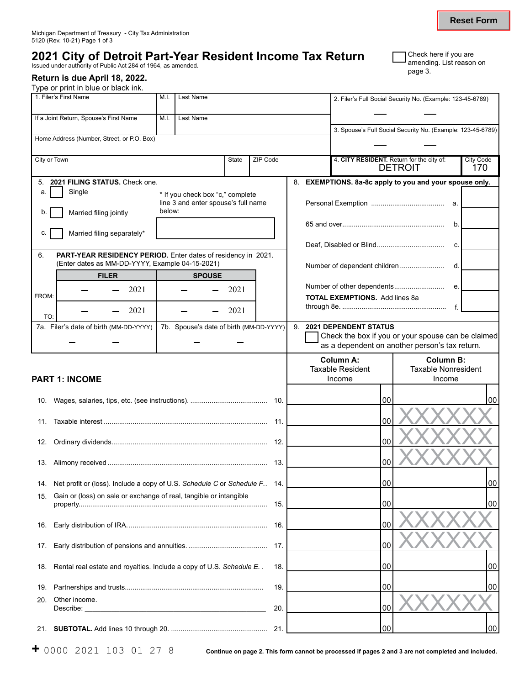## **2021 City of Detroit Part-Year Resident Income Tax Return Stature authority of Public Act 284 of 1964, as amended.** page 3. List reason on a list reason on a page 3. Page 3. Page 3. Page 3. Page 3. Page 3. Page 3. Page 3.

## **Return is due April 18, 2022.**

Type or print in blue or black ink.

| 1. Filer's First Name                                                                                                         | M.I. |        | Last Name |               |                                                                         |                                         |    | 2. Filer's Full Social Security No. (Example: 123-45-6789)                         |    |                                                |                  |
|-------------------------------------------------------------------------------------------------------------------------------|------|--------|-----------|---------------|-------------------------------------------------------------------------|-----------------------------------------|----|------------------------------------------------------------------------------------|----|------------------------------------------------|------------------|
| If a Joint Return, Spouse's First Name                                                                                        | M.I. |        | Last Name |               |                                                                         |                                         |    |                                                                                    |    |                                                |                  |
| Home Address (Number, Street, or P.O. Box)                                                                                    |      |        |           |               |                                                                         |                                         |    | 3. Spouse's Full Social Security No. (Example: 123-45-6789)                        |    |                                                |                  |
|                                                                                                                               |      |        |           |               |                                                                         |                                         |    |                                                                                    |    |                                                |                  |
| City or Town                                                                                                                  |      |        |           |               | State                                                                   | ZIP Code                                |    | 4. CITY RESIDENT. Return for the city of:                                          |    | <b>DETROIT</b>                                 | City Code<br>170 |
| 5. 2021 FILING STATUS. Check one.                                                                                             |      |        |           |               |                                                                         |                                         |    | 8. EXEMPTIONS. 8a-8c apply to you and your spouse only.                            |    |                                                |                  |
| Single<br>a.                                                                                                                  |      |        |           |               | * If you check box "c," complete<br>line 3 and enter spouse's full name |                                         |    |                                                                                    |    |                                                |                  |
| Married filing jointly<br>b.                                                                                                  |      | below: |           |               |                                                                         |                                         |    |                                                                                    |    |                                                |                  |
| Married filing separately*<br>С.                                                                                              |      |        |           |               |                                                                         |                                         |    |                                                                                    |    |                                                | b.               |
|                                                                                                                               |      |        |           |               |                                                                         |                                         |    |                                                                                    |    |                                                | C.               |
| 6.<br><b>PART-YEAR RESIDENCY PERIOD.</b> Enter dates of residency in 2021.<br>(Enter dates as MM-DD-YYYY, Example 04-15-2021) |      |        |           |               |                                                                         |                                         |    |                                                                                    |    |                                                |                  |
| <b>FILER</b>                                                                                                                  |      |        |           | <b>SPOUSE</b> |                                                                         |                                         |    | Number of dependent children                                                       |    |                                                | d.               |
|                                                                                                                               | 2021 |        |           |               | 2021                                                                    |                                         |    | Number of other dependents                                                         |    |                                                | е.               |
| FROM:                                                                                                                         | 2021 |        |           |               | 2021                                                                    |                                         |    | <b>TOTAL EXEMPTIONS.</b> Add lines 8a                                              |    |                                                | f                |
| TO:                                                                                                                           |      |        |           |               |                                                                         |                                         |    |                                                                                    |    |                                                |                  |
| 7a. Filer's date of birth (MM-DD-YYYY)                                                                                        |      |        |           |               |                                                                         | 7b. Spouse's date of birth (MM-DD-YYYY) | 9. | <b>2021 DEPENDENT STATUS</b><br>Check the box if you or your spouse can be claimed |    |                                                |                  |
|                                                                                                                               |      |        |           |               |                                                                         |                                         |    | as a dependent on another person's tax return.                                     |    |                                                |                  |
|                                                                                                                               |      |        |           |               |                                                                         |                                         |    | <b>Column A:</b><br><b>Taxable Resident</b>                                        |    | <b>Column B:</b><br><b>Taxable Nonresident</b> |                  |
| <b>PART 1: INCOME</b>                                                                                                         |      |        |           |               |                                                                         |                                         |    | Income                                                                             |    | Income                                         |                  |
|                                                                                                                               |      |        |           |               |                                                                         |                                         |    |                                                                                    |    |                                                |                  |
|                                                                                                                               |      |        |           |               |                                                                         |                                         |    | 00                                                                                 |    |                                                | 00               |
| 11.                                                                                                                           |      |        |           |               |                                                                         | -11.                                    |    | 00                                                                                 |    |                                                |                  |
| 12.                                                                                                                           |      |        |           |               |                                                                         |                                         |    | 00                                                                                 |    |                                                |                  |
|                                                                                                                               |      |        |           |               |                                                                         |                                         |    |                                                                                    |    |                                                |                  |
|                                                                                                                               |      |        |           |               |                                                                         |                                         |    | 00                                                                                 |    |                                                |                  |
| Net profit or (loss). Include a copy of U.S. Schedule C or Schedule F. 14.<br>14.                                             |      |        |           |               |                                                                         |                                         |    |                                                                                    | 00 |                                                | 00               |
| Gain or (loss) on sale or exchange of real, tangible or intangible<br>15.                                                     |      |        |           |               |                                                                         |                                         |    | 00                                                                                 |    |                                                | 00               |
|                                                                                                                               |      |        |           |               |                                                                         |                                         |    |                                                                                    |    |                                                |                  |
| 16.                                                                                                                           |      |        |           |               |                                                                         |                                         |    | 00                                                                                 |    |                                                |                  |
| 17.                                                                                                                           |      |        |           |               |                                                                         |                                         |    | 00                                                                                 |    |                                                |                  |
| 18. Rental real estate and royalties. Include a copy of U.S. Schedule E.                                                      |      |        |           |               |                                                                         | 18.                                     |    | 00                                                                                 |    |                                                | 00               |
|                                                                                                                               |      |        |           |               |                                                                         |                                         |    |                                                                                    |    |                                                |                  |
| 19.                                                                                                                           |      |        |           |               |                                                                         | 19.                                     |    | 00                                                                                 |    |                                                | 00               |
| Other income.<br>20.<br>Describe:<br><u> 1986 - Johann John Stein, fransk politik (f. 1986)</u>                               |      |        |           |               |                                                                         | 20.                                     |    | 00                                                                                 |    |                                                |                  |
|                                                                                                                               |      |        |           |               |                                                                         |                                         |    | 00                                                                                 |    |                                                | 00               |

| Check here if you are             |
|-----------------------------------|
| <b>-</b> amending. List reason on |
| nage $3$                          |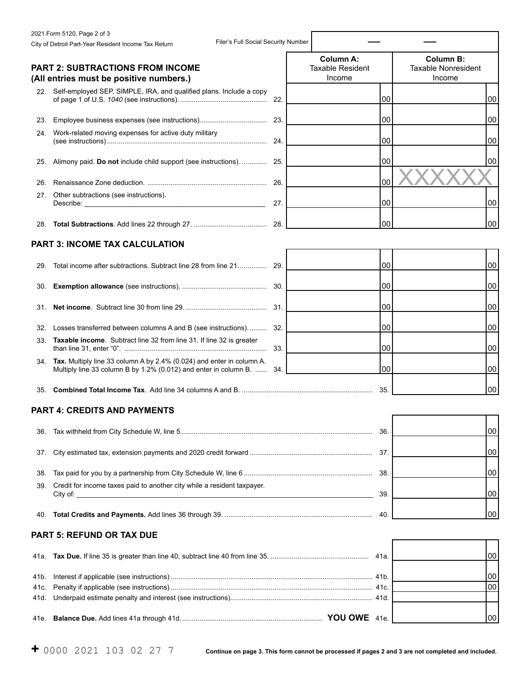|      | 2021 Form 5120, Page 2 of 3                                                                                                                        |     |                                             |     |                                                |    |
|------|----------------------------------------------------------------------------------------------------------------------------------------------------|-----|---------------------------------------------|-----|------------------------------------------------|----|
|      | Filer's Full Social Security Number<br>City of Detroit Part-Year Resident Income Tax Return                                                        |     |                                             |     |                                                |    |
|      | <b>PART 2: SUBTRACTIONS FROM INCOME</b>                                                                                                            |     | <b>Column A:</b><br><b>Taxable Resident</b> |     | <b>Column B:</b><br><b>Taxable Nonresident</b> |    |
|      | (All entries must be positive numbers.)                                                                                                            |     | Income                                      |     | Income                                         |    |
|      | 22. Self-employed SEP, SIMPLE, IRA, and qualified plans. Include a copy                                                                            | 22. |                                             | 00  |                                                | 00 |
| 23.  |                                                                                                                                                    | 23. |                                             | 00  |                                                | 00 |
|      | 24. Work-related moving expenses for active duty military                                                                                          | 24. |                                             | 00  |                                                | 00 |
|      | 25. Alimony paid. Do not include child support (see instructions).                                                                                 | 25. |                                             | 00  |                                                | 00 |
| 26.  |                                                                                                                                                    | 26. |                                             | 00  |                                                |    |
| 27.  | Other subtractions (see instructions).                                                                                                             | 27. |                                             | 00  |                                                | 00 |
|      |                                                                                                                                                    | 28. |                                             | 00  |                                                | 00 |
|      | <b>PART 3: INCOME TAX CALCULATION</b>                                                                                                              |     |                                             |     |                                                |    |
| 29.  | Total income after subtractions. Subtract line 28 from line 21                                                                                     | 29. |                                             | 00  |                                                | 00 |
| 30.  |                                                                                                                                                    | 30. |                                             | 00  |                                                | 00 |
| 31.  |                                                                                                                                                    | 31. |                                             | 00  |                                                | 00 |
| 32.  | Losses transferred between columns A and B (see instructions)                                                                                      | 32. |                                             | 00  |                                                | 00 |
| 33.  | Taxable income. Subtract line 32 from line 31. If line 32 is greater                                                                               | 33. |                                             | 00  |                                                | 00 |
| 34.  | Tax. Multiply line 33 column A by 2.4% (0.024) and enter in column A.<br>Multiply line 33 column B by 1.2% (0.012) and enter in column B.          | 34. |                                             | 00  |                                                | 00 |
| 35.  |                                                                                                                                                    |     |                                             | 35. |                                                | 00 |
|      | <b>PART 4: CREDITS AND PAYMENTS</b>                                                                                                                |     |                                             |     |                                                |    |
| 36.  |                                                                                                                                                    |     |                                             | 36. |                                                | 00 |
| 37.  |                                                                                                                                                    |     |                                             | 37. |                                                | 00 |
| 38.  |                                                                                                                                                    |     |                                             |     |                                                | 00 |
| 39.  | Credit for income taxes paid to another city while a resident taxpayer.<br>City of:<br><u> 1980 - Johann John Stone, markin fizikar (h. 1980).</u> |     |                                             | 39. |                                                | 00 |
| 40.  |                                                                                                                                                    |     |                                             |     | 00                                             |    |
|      | <b>PART 5: REFUND OR TAX DUE</b>                                                                                                                   |     |                                             |     |                                                |    |
| 41a. |                                                                                                                                                    |     |                                             |     |                                                | 00 |
| 41b. |                                                                                                                                                    |     |                                             |     |                                                | 00 |
| 41c. |                                                                                                                                                    |     |                                             |     |                                                | 00 |
| 41d. |                                                                                                                                                    |     |                                             |     |                                                |    |
| 41e. |                                                                                                                                                    |     |                                             |     |                                                | 00 |